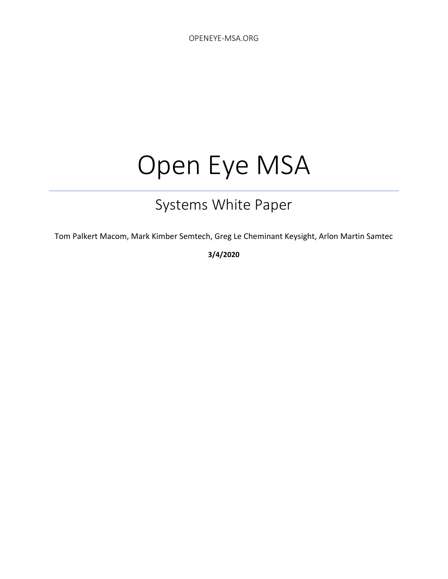# Open Eye MSA

# Systems White Paper

Tom Palkert Macom, Mark Kimber Semtech, Greg Le Cheminant Keysight, Arlon Martin Samtec

**3/4/2020**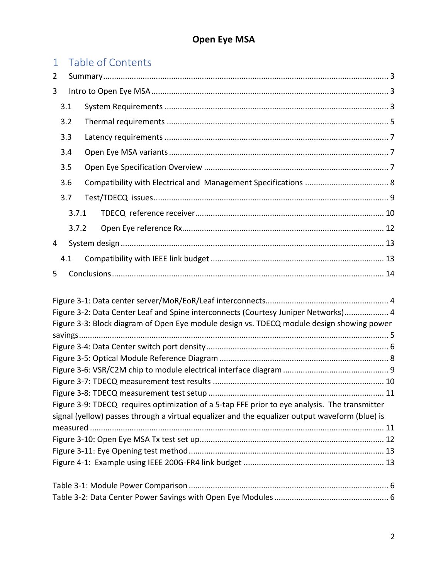| $\mathbf{1}$ |                                                                                               | Table of Contents                                                                              |  |  |  |  |  |  |  |
|--------------|-----------------------------------------------------------------------------------------------|------------------------------------------------------------------------------------------------|--|--|--|--|--|--|--|
| 2            |                                                                                               |                                                                                                |  |  |  |  |  |  |  |
| 3            |                                                                                               |                                                                                                |  |  |  |  |  |  |  |
|              | 3.1                                                                                           |                                                                                                |  |  |  |  |  |  |  |
|              | 3.2                                                                                           |                                                                                                |  |  |  |  |  |  |  |
|              | 3.3                                                                                           |                                                                                                |  |  |  |  |  |  |  |
|              | 3.4                                                                                           |                                                                                                |  |  |  |  |  |  |  |
|              | 3.5                                                                                           |                                                                                                |  |  |  |  |  |  |  |
|              | 3.6                                                                                           |                                                                                                |  |  |  |  |  |  |  |
|              | 3.7                                                                                           |                                                                                                |  |  |  |  |  |  |  |
|              | 3.7.1                                                                                         |                                                                                                |  |  |  |  |  |  |  |
|              | 3.7.2                                                                                         |                                                                                                |  |  |  |  |  |  |  |
| 4            |                                                                                               |                                                                                                |  |  |  |  |  |  |  |
|              | 4.1                                                                                           |                                                                                                |  |  |  |  |  |  |  |
| 5            |                                                                                               |                                                                                                |  |  |  |  |  |  |  |
|              |                                                                                               |                                                                                                |  |  |  |  |  |  |  |
|              |                                                                                               |                                                                                                |  |  |  |  |  |  |  |
|              |                                                                                               | Figure 3-2: Data Center Leaf and Spine interconnects (Courtesy Juniper Networks) 4             |  |  |  |  |  |  |  |
|              |                                                                                               | Figure 3-3: Block diagram of Open Eye module design vs. TDECQ module design showing power      |  |  |  |  |  |  |  |
|              |                                                                                               |                                                                                                |  |  |  |  |  |  |  |
|              |                                                                                               |                                                                                                |  |  |  |  |  |  |  |
|              |                                                                                               |                                                                                                |  |  |  |  |  |  |  |
|              |                                                                                               |                                                                                                |  |  |  |  |  |  |  |
|              |                                                                                               |                                                                                                |  |  |  |  |  |  |  |
|              | Figure 3-9: TDECQ requires optimization of a 5-tap FFE prior to eye analysis. The transmitter |                                                                                                |  |  |  |  |  |  |  |
|              |                                                                                               | signal (yellow) passes through a virtual equalizer and the equalizer output waveform (blue) is |  |  |  |  |  |  |  |
|              |                                                                                               |                                                                                                |  |  |  |  |  |  |  |
|              |                                                                                               |                                                                                                |  |  |  |  |  |  |  |
|              |                                                                                               |                                                                                                |  |  |  |  |  |  |  |
|              |                                                                                               |                                                                                                |  |  |  |  |  |  |  |
|              |                                                                                               |                                                                                                |  |  |  |  |  |  |  |
|              |                                                                                               |                                                                                                |  |  |  |  |  |  |  |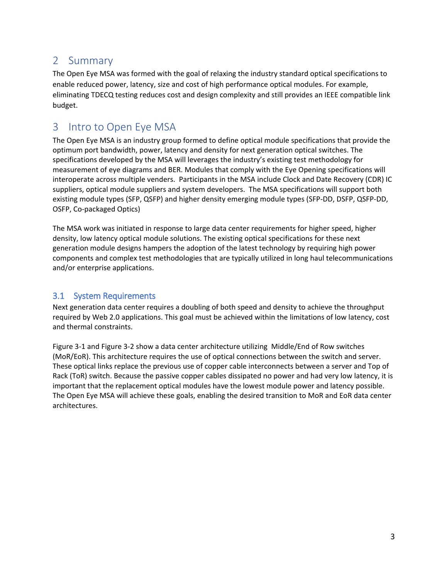#### <span id="page-2-0"></span>2 Summary

The Open Eye MSA was formed with the goal of relaxing the industry standard optical specifications to enable reduced power, latency, size and cost of high performance optical modules. For example, eliminating TDECQ testing reduces cost and design complexity and still provides an IEEE compatible link budget.

### <span id="page-2-1"></span>3 Intro to Open Eye MSA

The Open Eye MSA is an industry group formed to define optical module specifications that provide the optimum port bandwidth, power, latency and density for next generation optical switches. The specifications developed by the MSA will leverages the industry's existing test methodology for measurement of eye diagrams and BER. Modules that comply with the Eye Opening specifications will interoperate across multiple venders. Participants in the MSA include Clock and Date Recovery (CDR) IC suppliers, optical module suppliers and system developers. The MSA specifications will support both existing module types (SFP, QSFP) and higher density emerging module types (SFP-DD, DSFP, QSFP-DD, OSFP, Co-packaged Optics)

The MSA work was initiated in response to large data center requirements for higher speed, higher density, low latency optical module solutions. The existing optical specifications for these next generation module designs hampers the adoption of the latest technology by requiring high power components and complex test methodologies that are typically utilized in long haul telecommunications and/or enterprise applications.

#### <span id="page-2-2"></span>3.1 System Requirements

Next generation data center requires a doubling of both speed and density to achieve the throughput required by Web 2.0 applications. This goal must be achieved within the limitations of low latency, cost and thermal constraints.

[Figure 3-1](#page-3-0) an[d Figure 3-2](#page-3-1) show a data center architecture utilizing Middle/End of Row switches (MoR/EoR). This architecture requires the use of optical connections between the switch and server. These optical links replace the previous use of copper cable interconnects between a server and Top of Rack (ToR) switch. Because the passive copper cables dissipated no power and had very low latency, it is important that the replacement optical modules have the lowest module power and latency possible. The Open Eye MSA will achieve these goals, enabling the desired transition to MoR and EoR data center architectures.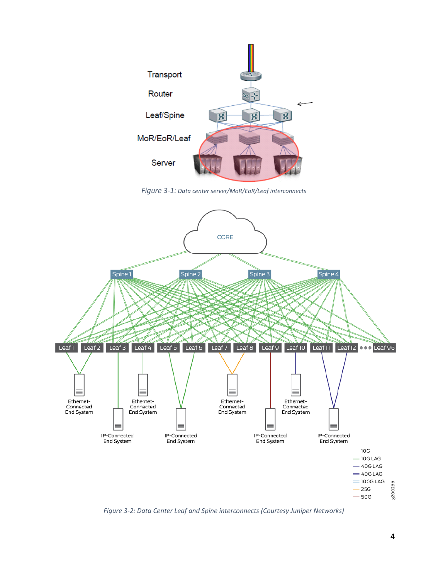

*Figure 3-1: Data center server/MoR/EoR/Leaf interconnects*

<span id="page-3-0"></span>

<span id="page-3-1"></span>*Figure 3-2: Data Center Leaf and Spine interconnects (Courtesy Juniper Networks)*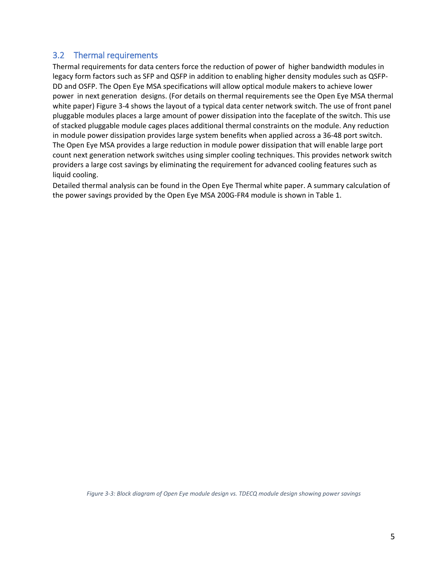#### <span id="page-4-0"></span>3.2 Thermal requirements

Thermal requirements for data centers force the reduction of power of higher bandwidth modules in legacy form factors such as SFP and QSFP in addition to enabling higher density modules such as QSFP-DD and OSFP. The Open Eye MSA specifications will allow optical module makers to achieve lower power in next generation designs. (For details on thermal requirements see the Open Eye MSA thermal white paper) [Figure 3-4](#page-5-0) shows the layout of a typical data center network switch. The use of front panel pluggable modules places a large amount of power dissipation into the faceplate of the switch. This use of stacked pluggable module cages places additional thermal constraints on the module. Any reduction in module power dissipation provides large system benefits when applied across a 36-48 port switch. The Open Eye MSA provides a large reduction in module power dissipation that will enable large port count next generation network switches using simpler cooling techniques. This provides network switch providers a large cost savings by eliminating the requirement for advanced cooling features such as liquid cooling.

Detailed thermal analysis can be found in the Open Eye Thermal white paper. A summary calculation of the power savings provided by the Open Eye MSA 200G-FR4 module is shown in Table 1.

<span id="page-4-1"></span>*Figure 3-3: Block diagram of Open Eye module design vs. TDECQ module design showing power savings*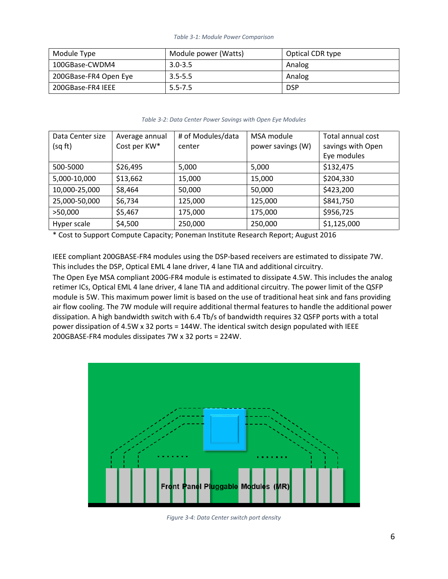#### *Table 3-1: Module Power Comparison*

<span id="page-5-1"></span>

| Module Type           | Module power (Watts) | Optical CDR type |  |
|-----------------------|----------------------|------------------|--|
| 100GBase-CWDM4        | $3.0 - 3.5$          | Analog           |  |
| 200GBase-FR4 Open Eye | $3.5 - 5.5$          | Analog           |  |
| 200GBase-FR4 IEEE     | $5.5 - 7.5$          | <b>DSP</b>       |  |

#### *Table 3-2: Data Center Power Savings with Open Eye Modules*

<span id="page-5-2"></span>

| Data Center size<br>(sq ft) | Average annual<br>Cost per KW* | # of Modules/data<br>center | MSA module<br>power savings (W) | Total annual cost<br>savings with Open<br>Eye modules |
|-----------------------------|--------------------------------|-----------------------------|---------------------------------|-------------------------------------------------------|
| 500-5000                    | \$26,495                       | 5,000                       | 5,000                           | \$132,475                                             |
| 5,000-10,000                | \$13,662                       | 15,000                      | 15,000                          | \$204,330                                             |
| 10,000-25,000               | \$8,464                        | 50,000                      | 50,000                          | \$423,200                                             |
| 25,000-50,000               | \$6,734                        | 125,000                     | 125,000                         | \$841,750                                             |
| >50,000                     | \$5,467                        | 175,000                     | 175,000                         | \$956,725                                             |
| Hyper scale                 | \$4,500                        | 250,000                     | 250,000                         | \$1,125,000                                           |

\* Cost to Support Compute Capacity; Poneman Institute Research Report; August 2016

IEEE compliant 200GBASE-FR4 modules using the DSP-based receivers are estimated to dissipate 7W. This includes the DSP, Optical EML 4 lane driver, 4 lane TIA and additional circuitry.

The Open Eye MSA compliant 200G-FR4 module is estimated to dissipate 4.5W. This includes the analog retimer ICs, Optical EML 4 lane driver, 4 lane TIA and additional circuitry. The power limit of the QSFP module is 5W. This maximum power limit is based on the use of traditional heat sink and fans providing air flow cooling. The 7W module will require additional thermal features to handle the additional power dissipation. A high bandwidth switch with 6.4 Tb/s of bandwidth requires 32 QSFP ports with a total power dissipation of 4.5W x 32 ports = 144W. The identical switch design populated with IEEE 200GBASE-FR4 modules dissipates 7W x 32 ports = 224W.



<span id="page-5-0"></span>*Figure 3-4: Data Center switch port density*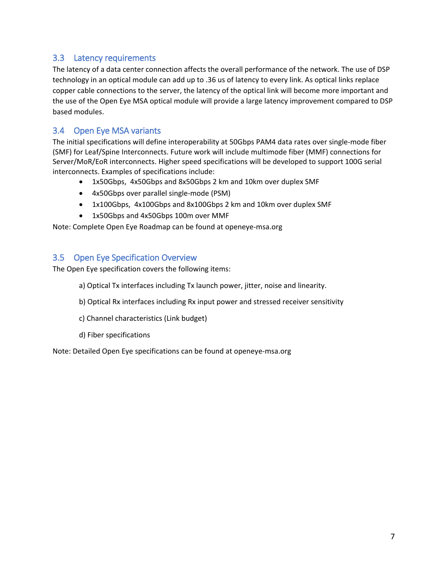#### <span id="page-6-0"></span>3.3 Latency requirements

The latency of a data center connection affects the overall performance of the network. The use of DSP technology in an optical module can add up to .36 us of latency to every link. As optical links replace copper cable connections to the server, the latency of the optical link will become more important and the use of the Open Eye MSA optical module will provide a large latency improvement compared to DSP based modules.

#### <span id="page-6-1"></span>3.4 Open Eye MSA variants

The initial specifications will define interoperability at 50Gbps PAM4 data rates over single-mode fiber (SMF) for Leaf/Spine Interconnects. Future work will include multimode fiber (MMF) connections for Server/MoR/EoR interconnects. Higher speed specifications will be developed to support 100G serial interconnects. Examples of specifications include:

- 1x50Gbps, 4x50Gbps and 8x50Gbps 2 km and 10km over duplex SMF
- 4x50Gbps over parallel single-mode (PSM)
- 1x100Gbps, 4x100Gbps and 8x100Gbps 2 km and 10km over duplex SMF
- 1x50Gbps and 4x50Gbps 100m over MMF

Note: Complete Open Eye Roadmap can be found at openeye-msa.org

#### <span id="page-6-2"></span>3.5 Open Eye Specification Overview

The Open Eye specification covers the following items:

- a) Optical Tx interfaces including Tx launch power, jitter, noise and linearity.
- b) Optical Rx interfaces including Rx input power and stressed receiver sensitivity
- c) Channel characteristics (Link budget)
- d) Fiber specifications

Note: Detailed Open Eye specifications can be found at openeye-msa.org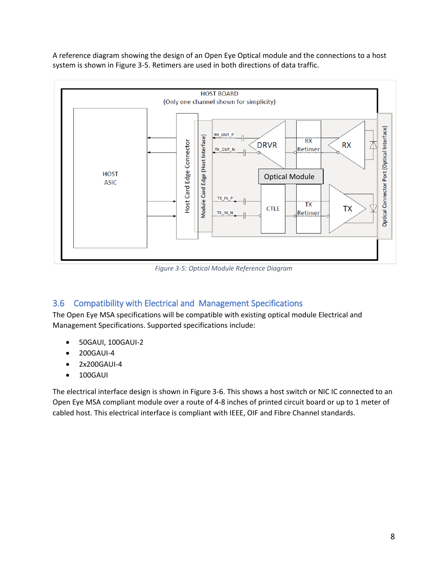A reference diagram showing the design of an Open Eye Optical module and the connections to a host system is shown in [Figure 3-5.](#page-7-1) Retimers are used in both directions of data traffic.



*Figure 3-5: Optical Module Reference Diagram*

#### <span id="page-7-1"></span><span id="page-7-0"></span>3.6 Compatibility with Electrical and Management Specifications

The Open Eye MSA specifications will be compatible with existing optical module Electrical and Management Specifications. Supported specifications include:

- 50GAUI, 100GAUI-2
- 200GAUI-4
- 2x200GAUI-4
- 100GAUI

The electrical interface design is shown in [Figure 3-6.](#page-8-1) This shows a host switch or NIC IC connected to an Open Eye MSA compliant module over a route of 4-8 inches of printed circuit board or up to 1 meter of cabled host. This electrical interface is compliant with IEEE, OIF and Fibre Channel standards.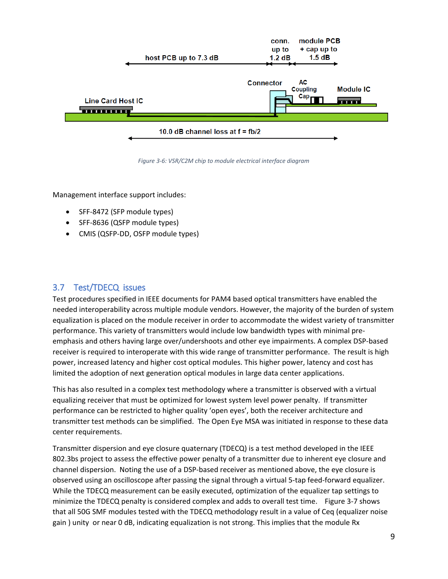

*Figure 3-6: VSR/C2M chip to module electrical interface diagram*

<span id="page-8-1"></span>Management interface support includes:

- SFF-8472 (SFP module types)
- SFF-8636 (QSFP module types)
- CMIS (QSFP-DD, OSFP module types)

#### <span id="page-8-0"></span>3.7 Test/TDECQ issues

Test procedures specified in IEEE documents for PAM4 based optical transmitters have enabled the needed interoperability across multiple module vendors. However, the majority of the burden of system equalization is placed on the module receiver in order to accommodate the widest variety of transmitter performance. This variety of transmitters would include low bandwidth types with minimal preemphasis and others having large over/undershoots and other eye impairments. A complex DSP-based receiver is required to interoperate with this wide range of transmitter performance. The result is high power, increased latency and higher cost optical modules. This higher power, latency and cost has limited the adoption of next generation optical modules in large data center applications.

This has also resulted in a complex test methodology where a transmitter is observed with a virtual equalizing receiver that must be optimized for lowest system level power penalty. If transmitter performance can be restricted to higher quality 'open eyes', both the receiver architecture and transmitter test methods can be simplified. The Open Eye MSA was initiated in response to these data center requirements.

Transmitter dispersion and eye closure quaternary (TDECQ) is a test method developed in the IEEE 802.3bs project to assess the effective power penalty of a transmitter due to inherent eye closure and channel dispersion. Noting the use of a DSP-based receiver as mentioned above, the eye closure is observed using an oscilloscope after passing the signal through a virtual 5-tap feed-forward equalizer. While the TDECQ measurement can be easily executed, optimization of the equalizer tap settings to minimize the TDECQ penalty is considered complex and adds to overall test time. [Figure 3-7](#page-9-1) shows that all 50G SMF modules tested with the TDECQ methodology result in a value of Ceq (equalizer noise gain ) unity or near 0 dB, indicating equalization is not strong. This implies that the module Rx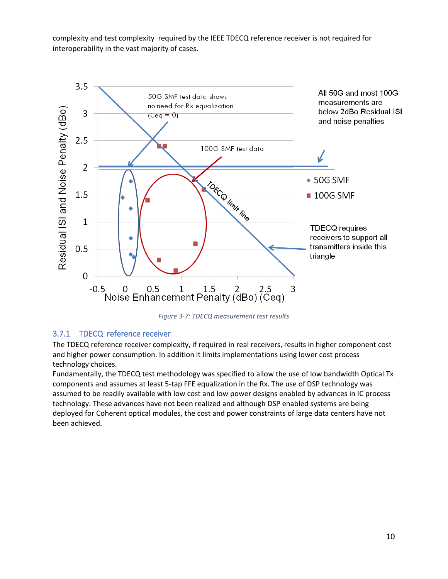complexity and test complexity required by the IEEE TDECQ reference receiver is not required for interoperability in the vast majority of cases.



*Figure 3-7: TDECQ measurement test results*

#### <span id="page-9-1"></span><span id="page-9-0"></span>3.7.1 TDECQ reference receiver

The TDECQ reference receiver complexity, if required in real receivers, results in higher component cost and higher power consumption. In addition it limits implementations using lower cost process technology choices.

Fundamentally, the TDECQ test methodology was specified to allow the use of low bandwidth Optical Tx components and assumes at least 5-tap FFE equalization in the Rx. The use of DSP technology was assumed to be readily available with low cost and low power designs enabled by advances in IC process technology. These advances have not been realized and although DSP enabled systems are being deployed for Coherent optical modules, the cost and power constraints of large data centers have not been achieved.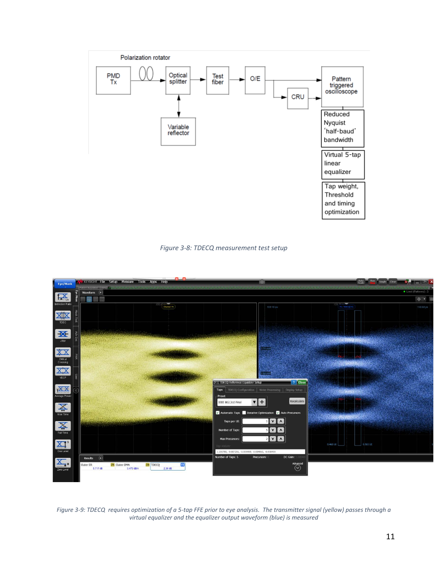

*Figure 3-8: TDECQ measurement test setup*

<span id="page-10-0"></span>

<span id="page-10-1"></span>*Figure 3-9: TDECQ requires optimization of a 5-tap FFE prior to eye analysis. The transmitter signal (yellow) passes through a virtual equalizer and the equalizer output waveform (blue) is measured*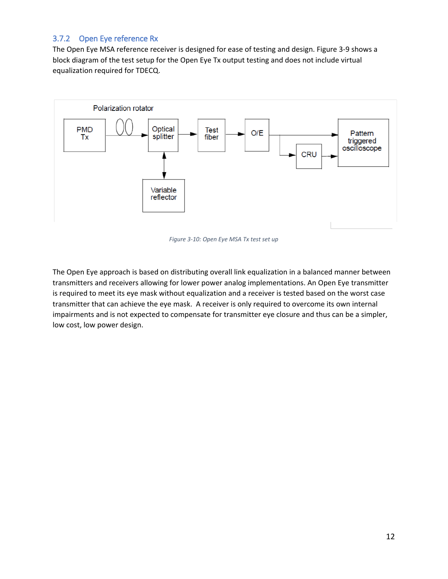#### <span id="page-11-0"></span>3.7.2 Open Eye reference Rx

The Open Eye MSA reference receiver is designed for ease of testing and design. [Figure 3-9](#page-11-1) shows a block diagram of the test setup for the Open Eye Tx output testing and does not include virtual equalization required for TDECQ.



*Figure 3-10: Open Eye MSA Tx test set up*

<span id="page-11-1"></span>The Open Eye approach is based on distributing overall link equalization in a balanced manner between transmitters and receivers allowing for lower power analog implementations. An Open Eye transmitter is required to meet its eye mask without equalization and a receiver is tested based on the worst case transmitter that can achieve the eye mask. A receiver is only required to overcome its own internal impairments and is not expected to compensate for transmitter eye closure and thus can be a simpler, low cost, low power design.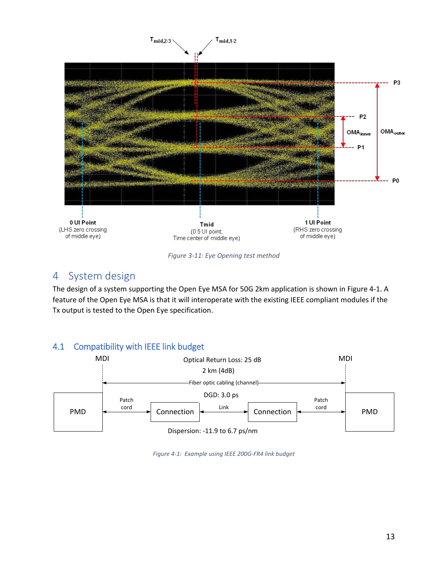

*Figure 3-11: Eye Opening test method*

#### <span id="page-12-2"></span><span id="page-12-0"></span>4 System design

The design of a system supporting the Open Eye MSA for 50G 2km application is shown in [Figure 4-1.](#page-12-3) A feature of the Open Eye MSA is that it will interoperate with the existing IEEE compliant modules if the Tx output is tested to the Open Eye specification.

#### <span id="page-12-1"></span>4.1 Compatibility with IEEE link budget

<span id="page-12-3"></span>

*Figure 4-1: Example using IEEE 200G-FR4 link budget*